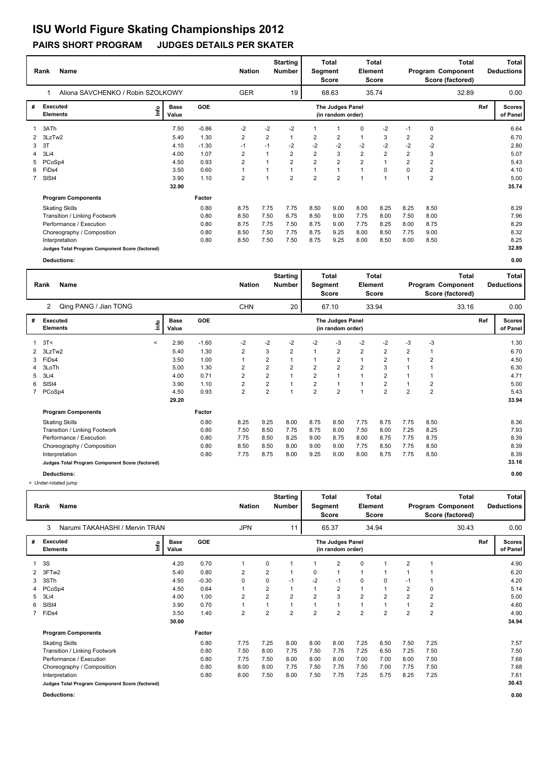|                | <b>Name</b><br>Rank                             |                      |         | <b>Nation</b>  |                | <b>Starting</b><br><b>Number</b> | Segment        | <b>Total</b><br>Score                 | Element        | Total<br><b>Score</b> |                |                | <b>Total</b><br>Program Component<br>Score (factored) |     | Total<br><b>Deductions</b> |
|----------------|-------------------------------------------------|----------------------|---------|----------------|----------------|----------------------------------|----------------|---------------------------------------|----------------|-----------------------|----------------|----------------|-------------------------------------------------------|-----|----------------------------|
|                | Aliona SAVCHENKO / Robin SZOLKOWY               |                      |         | <b>GER</b>     |                | 19                               |                | 68.63                                 |                | 35.74                 |                |                | 32.89                                                 |     | 0.00                       |
| #              | Executed<br>lnfo<br><b>Elements</b>             | <b>Base</b><br>Value | GOE     |                |                |                                  |                | The Judges Panel<br>(in random order) |                |                       |                |                |                                                       | Ref | <b>Scores</b><br>of Panel  |
| 1              | 3ATh                                            | 7.50                 | $-0.86$ | $-2$           | $-2$           | $-2$                             |                | -1                                    | 0              | $-2$                  | $-1$           | 0              |                                                       |     | 6.64                       |
|                | 3LzTw2                                          | 5.40                 | 1.30    | $\overline{2}$ | $\overline{2}$ |                                  | $\overline{2}$ | $\overline{2}$                        | $\mathbf{1}$   | 3                     | $\overline{2}$ | $\overline{2}$ |                                                       |     | 6.70                       |
| 3              | 3T                                              | 4.10                 | $-1.30$ | $-1$           | $-1$           | $-2$                             | $-2$           | $-2$                                  | $-2$           | $-2$                  | $-2$           | $-2$           |                                                       |     | 2.80                       |
|                | 4 3Li4                                          | 4.00                 | 1.07    | $\overline{2}$ | $\mathbf{1}$   | 2                                | $\overline{2}$ | 3                                     | $\overline{2}$ | $\overline{2}$        | $\overline{2}$ | 3              |                                                       |     | 5.07                       |
| 5              | PCoSp4                                          | 4.50                 | 0.93    | $\overline{2}$ |                | $\overline{2}$                   | $\overline{2}$ | $\overline{2}$                        | $\overline{2}$ |                       | $\overline{2}$ | $\overline{2}$ |                                                       |     | 5.43                       |
| 6              | FiDs4                                           | 3.50                 | 0.60    | $\mathbf{1}$   |                |                                  |                | $\mathbf{1}$                          |                | 0                     | 0              | 2              |                                                       |     | 4.10                       |
| $\overline{7}$ | SISt4                                           | 3.90                 | 1.10    | 2              |                | $\overline{\mathbf{c}}$          | $\overline{2}$ | $\overline{2}$                        |                | 1                     |                | $\overline{2}$ |                                                       |     | 5.00                       |
|                |                                                 | 32.90                |         |                |                |                                  |                |                                       |                |                       |                |                |                                                       |     | 35.74                      |
|                | <b>Program Components</b>                       |                      | Factor  |                |                |                                  |                |                                       |                |                       |                |                |                                                       |     |                            |
|                | <b>Skating Skills</b>                           |                      | 0.80    | 8.75           | 7.75           | 7.75                             | 8.50           | 9.00                                  | 8.00           | 8.25                  | 8.25           | 8.50           |                                                       |     | 8.29                       |
|                | Transition / Linking Footwork                   |                      | 0.80    | 8.50           | 7.50           | 6.75                             | 8.50           | 9.00                                  | 7.75           | 8.00                  | 7.50           | 8.00           |                                                       |     | 7.96                       |
|                | Performance / Execution                         |                      | 0.80    | 8.75           | 7.75           | 7.50                             | 8.75           | 9.00                                  | 7.75           | 8.25                  | 8.00           | 8.75           |                                                       |     | 8.29                       |
|                | Choreography / Composition                      |                      | 0.80    | 8.50           | 7.50           | 7.75                             | 8.75           | 9.25                                  | 8.00           | 8.50                  | 7.75           | 9.00           |                                                       |     | 8.32                       |
|                | Interpretation                                  |                      | 0.80    | 8.50           | 7.50           | 7.50                             | 8.75           | 9.25                                  | 8.00           | 8.50                  | 8.00           | 8.50           |                                                       |     | 8.25                       |
|                | Judges Total Program Component Score (factored) |                      |         |                |                |                                  |                |                                       |                |                       |                |                |                                                       |     | 32.89                      |

**Deductions: 0.00**

|              | <b>Name</b><br>Rank                             |         |                      |         | <b>Nation</b>  |                         | <b>Starting</b><br>Number | Segment        | Total<br><b>Score</b>                 | Element                 | <b>Total</b><br>Score |                |                | <b>Total</b><br>Program Component<br>Score (factored) |     | <b>Total</b><br><b>Deductions</b> |
|--------------|-------------------------------------------------|---------|----------------------|---------|----------------|-------------------------|---------------------------|----------------|---------------------------------------|-------------------------|-----------------------|----------------|----------------|-------------------------------------------------------|-----|-----------------------------------|
|              | Qing PANG / Jian TONG<br>2                      |         |                      |         | <b>CHN</b>     |                         | 20                        |                | 67.10                                 |                         | 33.94                 |                |                | 33.16                                                 |     | 0.00                              |
| #            | Executed<br><b>Elements</b>                     | ١nf٥    | <b>Base</b><br>Value | GOE     |                |                         |                           |                | The Judges Panel<br>(in random order) |                         |                       |                |                |                                                       | Ref | <b>Scores</b><br>of Panel         |
| 1            | 3T<                                             | $\prec$ | 2.90                 | $-1.60$ | $-2$           | $-2$                    | $-2$                      | $-2$           | -3                                    | $-2$                    | $-2$                  | $-3$           | $-3$           |                                                       |     | 1.30                              |
| $\mathbf{2}$ | 3LzTw2                                          |         | 5.40                 | 1.30    | 2              | 3                       | $\overline{2}$            |                | $\overline{2}$                        | $\overline{2}$          | $\overline{2}$        | $\overline{2}$ |                |                                                       |     | 6.70                              |
| 3            | FiDs4                                           |         | 3.50                 | 1.00    |                | 2                       | $\mathbf{1}$              |                | $\overline{2}$                        | $\mathbf{1}$            | $\overline{2}$        | 1              | 2              |                                                       |     | 4.50                              |
| 4            | 3LoTh                                           |         | 5.00                 | 1.30    | 2              | $\overline{\mathbf{c}}$ | $\overline{2}$            | $\overline{2}$ | $\overline{2}$                        | $\overline{\mathbf{c}}$ | 3                     |                |                |                                                       |     | 6.30                              |
| 5            | 3Li4                                            |         | 4.00                 | 0.71    | 2              | $\overline{\mathbf{c}}$ | $\mathbf{1}$              | $\overline{2}$ | 1                                     | $\mathbf{1}$            | 2                     | 1              |                |                                                       |     | 4.71                              |
| 6            | SISt4                                           |         | 3.90                 | 1.10    | 2              | $\overline{\mathbf{c}}$ | $\mathbf{1}$              | $\overline{2}$ | $\overline{1}$                        | 1                       | 2                     | 1              | 2              |                                                       |     | 5.00                              |
| $7^{\circ}$  | PCoSp4                                          |         | 4.50                 | 0.93    | $\overline{2}$ | $\overline{2}$          | $\overline{1}$            | $\overline{2}$ | $\overline{2}$                        | $\mathbf{1}$            | $\overline{2}$        | $\overline{2}$ | $\overline{2}$ |                                                       |     | 5.43                              |
|              |                                                 |         | 29.20                |         |                |                         |                           |                |                                       |                         |                       |                |                |                                                       |     | 33.94                             |
|              | <b>Program Components</b>                       |         |                      | Factor  |                |                         |                           |                |                                       |                         |                       |                |                |                                                       |     |                                   |
|              | <b>Skating Skills</b>                           |         |                      | 0.80    | 8.25           | 9.25                    | 8.00                      | 8.75           | 8.50                                  | 7.75                    | 8.75                  | 7.75           | 8.50           |                                                       |     | 8.36                              |
|              | Transition / Linking Footwork                   |         |                      | 0.80    | 7.50           | 8.50                    | 7.75                      | 8.75           | 8.00                                  | 7.50                    | 8.00                  | 7.25           | 8.25           |                                                       |     | 7.93                              |
|              | Performance / Execution                         |         |                      | 0.80    | 7.75           | 8.50                    | 8.25                      | 9.00           | 8.75                                  | 8.00                    | 8.75                  | 7.75           | 8.75           |                                                       |     | 8.39                              |
|              | Choreography / Composition                      |         |                      | 0.80    | 8.50           | 8.50                    | 8.00                      | 9.00           | 9.00                                  | 7.75                    | 8.50                  | 7.75           | 8.50           |                                                       |     | 8.39                              |
|              | Interpretation                                  |         |                      | 0.80    | 7.75           | 8.75                    | 8.00                      | 9.25           | 9.00                                  | 8.00                    | 8.75                  | 7.75           | 8.50           |                                                       |     | 8.39                              |
|              | Judges Total Program Component Score (factored) |         |                      |         |                |                         |                           |                |                                       |                         |                       |                |                |                                                       |     | 33.16                             |
|              | Deductions:                                     |         |                      |         |                |                         |                           |                |                                       |                         |                       |                |                |                                                       |     | 0.00                              |

< Under-rotated jump

|    | <b>Name</b><br>Rank                             |                      | <b>Nation</b> |                | <b>Starting</b><br><b>Number</b> | Segment        | Total<br>Score | Element                               | <b>Total</b><br><b>Score</b> |                |                | <b>Total</b><br>Program Component<br>Score (factored) |       | Total<br><b>Deductions</b> |                           |
|----|-------------------------------------------------|----------------------|---------------|----------------|----------------------------------|----------------|----------------|---------------------------------------|------------------------------|----------------|----------------|-------------------------------------------------------|-------|----------------------------|---------------------------|
|    | Narumi TAKAHASHI / Mervin TRAN<br>3             |                      |               | <b>JPN</b>     |                                  | 11             |                | 65.37                                 |                              | 34.94          |                |                                                       | 30.43 |                            | 0.00                      |
| #  | <b>Executed</b><br>lnfo<br><b>Elements</b>      | <b>Base</b><br>Value | <b>GOE</b>    |                |                                  |                |                | The Judges Panel<br>(in random order) |                              |                |                |                                                       |       | Ref                        | <b>Scores</b><br>of Panel |
|    | 3S                                              | 4.20                 | 0.70          | 1              | 0                                |                |                | 2                                     | 0                            | 1              | 2              |                                                       |       |                            | 4.90                      |
|    | 3FTw2                                           | 5.40                 | 0.80          | $\overline{2}$ | 2                                |                | 0              | 1                                     | 1                            | 1              |                |                                                       |       |                            | 6.20                      |
| 3  | 3STh                                            | 4.50                 | $-0.30$       | 0              | 0                                | $-1$           | $-2$           | $-1$                                  | 0                            | 0              | $-1$           |                                                       |       |                            | 4.20                      |
|    | 4 PCoSp4                                        | 4.50                 | 0.64          | $\mathbf{1}$   | $\overline{2}$                   |                |                | $\overline{2}$                        |                              | 1              | $\overline{2}$ | 0                                                     |       |                            | 5.14                      |
| 5. | 3Li4                                            | 4.00                 | 1.00          | $\overline{2}$ | $\overline{2}$                   | 2              | 2              | 3                                     | $\overline{2}$               | 2              | 2              | 2                                                     |       |                            | 5.00                      |
| 6  | SISt4                                           | 3.90                 | 0.70          | 1              | 1                                |                |                | $\overline{1}$                        | 1                            | $\overline{ }$ |                | 2                                                     |       |                            | 4.60                      |
|    | 7 FiDs4                                         | 3.50                 | 1.40          | $\overline{2}$ | $\overline{2}$                   | $\overline{2}$ | $\overline{2}$ | $\overline{2}$                        | $\overline{2}$               | $\overline{2}$ | $\overline{2}$ | $\overline{2}$                                        |       |                            | 4.90                      |
|    |                                                 | 30.00                |               |                |                                  |                |                |                                       |                              |                |                |                                                       |       |                            | 34.94                     |
|    | <b>Program Components</b>                       |                      | Factor        |                |                                  |                |                |                                       |                              |                |                |                                                       |       |                            |                           |
|    | <b>Skating Skills</b>                           |                      | 0.80          | 7.75           | 7.25                             | 8.00           | 8.00           | 8.00                                  | 7.25                         | 6.50           | 7.50           | 7.25                                                  |       |                            | 7.57                      |
|    | Transition / Linking Footwork                   |                      | 0.80          | 7.50           | 8.00                             | 7.75           | 7.50           | 7.75                                  | 7.25                         | 6.50           | 7.25           | 7.50                                                  |       |                            | 7.50                      |
|    | Performance / Execution                         |                      | 0.80          | 7.75           | 7.50                             | 8.00           | 8.00           | 8.00                                  | 7.00                         | 7.00           | 8.00           | 7.50                                                  |       |                            | 7.68                      |
|    | Choreography / Composition                      |                      | 0.80          | 8.00           | 8.00                             | 7.75           | 7.50           | 7.75                                  | 7.50                         | 7.00           | 7.75           | 7.50                                                  |       |                            | 7.68                      |
|    | Interpretation                                  |                      | 0.80          | 8.00           | 7.50                             | 8.00           | 7.50           | 7.75                                  | 7.25                         | 5.75           | 8.25           | 7.25                                                  |       |                            | 7.61                      |
|    | Judges Total Program Component Score (factored) |                      |               |                |                                  |                |                |                                       |                              |                |                |                                                       |       |                            | 30.43                     |
|    | Deductions:                                     |                      |               |                |                                  |                |                |                                       |                              |                |                |                                                       |       |                            | 0.00                      |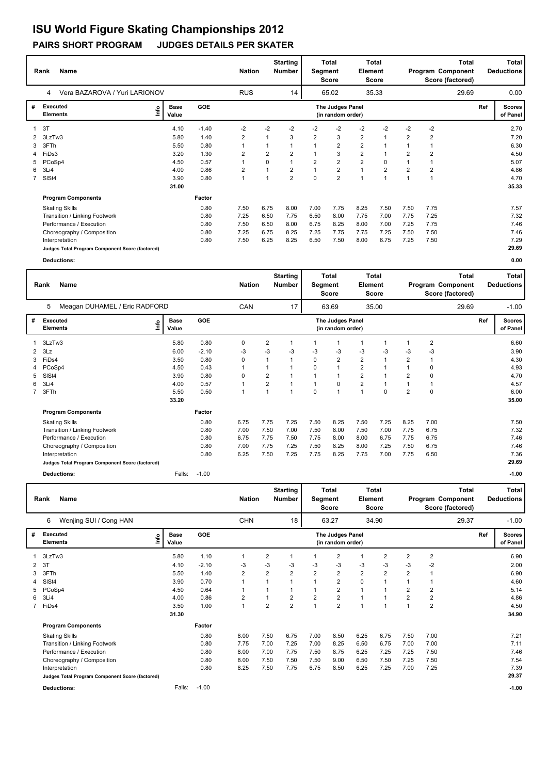|             | <b>Name</b><br>Rank                             |                      |         | <b>Nation</b> |                | <b>Starting</b><br><b>Number</b> | Segment        | Total<br>Score                        | Element                 | <b>Total</b><br><b>Score</b> |                |      | Total<br>Program Component<br>Score (factored) |     | <b>Total</b><br><b>Deductions</b> |
|-------------|-------------------------------------------------|----------------------|---------|---------------|----------------|----------------------------------|----------------|---------------------------------------|-------------------------|------------------------------|----------------|------|------------------------------------------------|-----|-----------------------------------|
|             | Vera BAZAROVA / Yuri LARIONOV<br>4              |                      |         | <b>RUS</b>    |                | 14                               |                | 65.02                                 |                         | 35.33                        |                |      | 29.69                                          |     | 0.00                              |
| #           | Executed<br>lnfo<br><b>Elements</b>             | <b>Base</b><br>Value | GOE     |               |                |                                  |                | The Judges Panel<br>(in random order) |                         |                              |                |      |                                                | Ref | <b>Scores</b><br>of Panel         |
|             | 3T                                              | 4.10                 | $-1.40$ | $-2$          | $-2$           | $-2$                             | $-2$           | $-2$                                  | $-2$                    | $-2$                         | $-2$           | $-2$ |                                                |     | 2.70                              |
|             | 2 3LzTw3                                        | 5.80                 | 1.40    | 2             |                | 3                                | $\overline{2}$ | 3                                     | $\overline{2}$          | 1                            | $\overline{2}$ | 2    |                                                |     | 7.20                              |
| 3           | 3FTh                                            | 5.50                 | 0.80    |               |                |                                  |                | $\overline{2}$                        | $\overline{\mathbf{c}}$ |                              |                |      |                                                |     | 6.30                              |
|             | 4 FiDs3                                         | 3.20                 | 1.30    | 2             | $\overline{2}$ | $\overline{2}$                   |                | 3                                     | $\overline{\mathbf{c}}$ |                              | $\overline{2}$ | 2    |                                                |     | 4.50                              |
| 5.          | PCoSp4                                          | 4.50                 | 0.57    |               | 0              | 1                                | $\overline{2}$ | $\overline{\mathbf{c}}$               | $\overline{\mathbf{c}}$ | $\Omega$                     |                |      |                                                |     | 5.07                              |
| 6           | 3Li4                                            | 4.00                 | 0.86    | 2             |                | $\overline{2}$                   |                | $\overline{2}$                        | $\overline{1}$          | $\overline{2}$               | $\overline{2}$ | 2    |                                                |     | 4.86                              |
| $7^{\circ}$ | SISt4                                           | 3.90                 | 0.80    | 1             |                | $\overline{2}$                   | $\Omega$       | $\overline{2}$                        | 1                       |                              | и              |      |                                                |     | 4.70                              |
|             |                                                 | 31.00                |         |               |                |                                  |                |                                       |                         |                              |                |      |                                                |     | 35.33                             |
|             | <b>Program Components</b>                       |                      | Factor  |               |                |                                  |                |                                       |                         |                              |                |      |                                                |     |                                   |
|             | <b>Skating Skills</b>                           |                      | 0.80    | 7.50          | 6.75           | 8.00                             | 7.00           | 7.75                                  | 8.25                    | 7.50                         | 7.50           | 7.75 |                                                |     | 7.57                              |
|             | Transition / Linking Footwork                   |                      | 0.80    | 7.25          | 6.50           | 7.75                             | 6.50           | 8.00                                  | 7.75                    | 7.00                         | 7.75           | 7.25 |                                                |     | 7.32                              |
|             | Performance / Execution                         |                      | 0.80    | 7.50          | 6.50           | 8.00                             | 6.75           | 8.25                                  | 8.00                    | 7.00                         | 7.25           | 7.75 |                                                |     | 7.46                              |
|             | Choreography / Composition                      |                      | 0.80    | 7.25          | 6.75           | 8.25                             | 7.25           | 7.75                                  | 7.75                    | 7.25                         | 7.50           | 7.50 |                                                |     | 7.46                              |
|             | Interpretation                                  |                      | 0.80    | 7.50          | 6.25           | 8.25                             | 6.50           | 7.50                                  | 8.00                    | 6.75                         | 7.25           | 7.50 |                                                |     | 7.29                              |
|             | Judges Total Program Component Score (factored) |                      |         |               |                |                                  |                |                                       |                         |                              |                |      |                                                |     | 29.69                             |

**Deductions: 0.00**

|                | Name<br>Rank                                    |                              |         | <b>Nation</b> |                         | <b>Starting</b><br>Number | Segment  | Total<br><b>Score</b>                 | Element                 | <b>Total</b><br>Score |                |          | <b>Total</b><br>Program Component<br>Score (factored) |     | <b>Total</b><br><b>Deductions</b> |
|----------------|-------------------------------------------------|------------------------------|---------|---------------|-------------------------|---------------------------|----------|---------------------------------------|-------------------------|-----------------------|----------------|----------|-------------------------------------------------------|-----|-----------------------------------|
|                | Meagan DUHAMEL / Eric RADFORD<br>5              |                              |         | <b>CAN</b>    |                         | 17                        |          | 63.69                                 |                         | 35.00                 |                |          | 29.69                                                 |     | $-1.00$                           |
| #              | Executed<br><b>Elements</b>                     | <b>Base</b><br>١nf٥<br>Value | GOE     |               |                         |                           |          | The Judges Panel<br>(in random order) |                         |                       |                |          |                                                       | Ref | <b>Scores</b><br>of Panel         |
|                | 3LzTw3                                          | 5.80                         | 0.80    | 0             | 2                       | $\overline{1}$            |          | 1                                     | 1                       |                       | 1              | 2        |                                                       |     | 6.60                              |
| $\overline{2}$ | 3Lz                                             | 6.00                         | $-2.10$ | -3            | $-3$                    | -3                        | -3       | -3                                    | $-3$                    | $-3$                  | $-3$           | $-3$     |                                                       |     | 3.90                              |
| 3              | FiDs4                                           | 3.50                         | 0.80    | $\Omega$      | 1                       | $\overline{1}$            | $\Omega$ | $\overline{2}$                        | $\overline{2}$          |                       | $\overline{2}$ | 1        |                                                       |     | 4.30                              |
| 4              | PCoSp4                                          | 4.50                         | 0.43    |               |                         |                           | 0        | $\overline{1}$                        | $\overline{\mathbf{c}}$ |                       |                | $\Omega$ |                                                       |     | 4.93                              |
| 5              | SISt4                                           | 3.90                         | 0.80    | 0             | $\overline{\mathbf{c}}$ | 1                         |          | 1                                     | $\overline{\mathbf{c}}$ |                       | $\overline{2}$ | 0        |                                                       |     | 4.70                              |
| 6              | 3Li4                                            | 4.00                         | 0.57    |               | $\overline{\mathbf{c}}$ | $\mathbf{1}$              |          | $\mathbf 0$                           | $\overline{\mathbf{c}}$ |                       |                |          |                                                       |     | 4.57                              |
| $7^{\circ}$    | 3FTh                                            | 5.50                         | 0.50    | 1             | 1                       | $\overline{1}$            | $\Omega$ | 1                                     | $\mathbf{1}$            | $\Omega$              | $\overline{2}$ | $\Omega$ |                                                       |     | 6.00                              |
|                |                                                 | 33.20                        |         |               |                         |                           |          |                                       |                         |                       |                |          |                                                       |     | 35.00                             |
|                | <b>Program Components</b>                       |                              | Factor  |               |                         |                           |          |                                       |                         |                       |                |          |                                                       |     |                                   |
|                | <b>Skating Skills</b>                           |                              | 0.80    | 6.75          | 7.75                    | 7.25                      | 7.50     | 8.25                                  | 7.50                    | 7.25                  | 8.25           | 7.00     |                                                       |     | 7.50                              |
|                | Transition / Linking Footwork                   |                              | 0.80    | 7.00          | 7.50                    | 7.00                      | 7.50     | 8.00                                  | 7.50                    | 7.00                  | 7.75           | 6.75     |                                                       |     | 7.32                              |
|                | Performance / Execution                         |                              | 0.80    | 6.75          | 7.75                    | 7.50                      | 7.75     | 8.00                                  | 8.00                    | 6.75                  | 7.75           | 6.75     |                                                       |     | 7.46                              |
|                | Choreography / Composition                      |                              | 0.80    | 7.00          | 7.75                    | 7.25                      | 7.50     | 8.25                                  | 8.00                    | 7.25                  | 7.50           | 6.75     |                                                       |     | 7.46                              |
|                | Interpretation                                  |                              | 0.80    | 6.25          | 7.50                    | 7.25                      | 7.75     | 8.25                                  | 7.75                    | 7.00                  | 7.75           | 6.50     |                                                       |     | 7.36                              |
|                | Judges Total Program Component Score (factored) |                              |         |               |                         |                           |          |                                       |                         |                       |                |          |                                                       |     | 29.69                             |
|                | Deductions:                                     | Falls:                       | $-1.00$ |               |                         |                           |          |                                       |                         |                       |                |          |                                                       |     | $-1.00$                           |

|   | <b>Name</b><br>Rank                             |      |                      |            | <b>Nation</b>  |                         | <b>Starting</b><br><b>Number</b> | Segment        | <b>Total</b><br><b>Score</b>          | Element        | <b>Total</b><br>Score |                |                | <b>Total</b><br>Program Component<br>Score (factored) |     | Total<br><b>Deductions</b> |
|---|-------------------------------------------------|------|----------------------|------------|----------------|-------------------------|----------------------------------|----------------|---------------------------------------|----------------|-----------------------|----------------|----------------|-------------------------------------------------------|-----|----------------------------|
|   | 6<br>Wenjing SUI / Cong HAN                     |      |                      |            | <b>CHN</b>     |                         | 18                               |                | 63.27                                 |                | 34.90                 |                |                | 29.37                                                 |     | $-1.00$                    |
| # | Executed<br><b>Elements</b>                     | lnfo | <b>Base</b><br>Value | <b>GOE</b> |                |                         |                                  |                | The Judges Panel<br>(in random order) |                |                       |                |                |                                                       | Ref | <b>Scores</b><br>of Panel  |
|   | 3LzTw3                                          |      | 5.80                 | 1.10       | 1              | 2                       |                                  |                | 2                                     | 1              | $\overline{2}$        | 2              | $\overline{2}$ |                                                       |     | 6.90                       |
| 2 | 3T                                              |      | 4.10                 | $-2.10$    | -3             | $-3$                    | -3                               | $-3$           | $-3$                                  | $-3$           | $-3$                  | $-3$           | $-2$           |                                                       |     | 2.00                       |
| 3 | 3FTh                                            |      | 5.50                 | 1.40       | $\overline{2}$ | $\overline{\mathbf{c}}$ | $\overline{2}$                   | $\overline{2}$ | $\overline{\mathbf{c}}$               | $\overline{2}$ | $\overline{2}$        | 2              |                |                                                       |     | 6.90                       |
| 4 | SISt4                                           |      | 3.90                 | 0.70       |                |                         |                                  |                | $\overline{2}$                        | 0              |                       |                |                |                                                       |     | 4.60                       |
| 5 | PCoSp4                                          |      | 4.50                 | 0.64       |                |                         |                                  |                | $\overline{2}$                        |                |                       | 2              | $\overline{2}$ |                                                       |     | 5.14                       |
| 6 | 3Li4                                            |      | 4.00                 | 0.86       | $\overline{2}$ |                         | $\overline{2}$                   | $\overline{2}$ | $\overline{\mathbf{c}}$               | 1              | $\overline{1}$        | $\overline{2}$ | $\overline{2}$ |                                                       |     | 4.86                       |
|   | 7 FiDs4                                         |      | 3.50                 | 1.00       | 1              | $\overline{2}$          | $\overline{2}$                   |                | $\overline{2}$                        | $\overline{1}$ | $\overline{1}$        |                | $\overline{2}$ |                                                       |     | 4.50                       |
|   |                                                 |      | 31.30                |            |                |                         |                                  |                |                                       |                |                       |                |                |                                                       |     | 34.90                      |
|   | <b>Program Components</b>                       |      |                      | Factor     |                |                         |                                  |                |                                       |                |                       |                |                |                                                       |     |                            |
|   | <b>Skating Skills</b>                           |      |                      | 0.80       | 8.00           | 7.50                    | 6.75                             | 7.00           | 8.50                                  | 6.25           | 6.75                  | 7.50           | 7.00           |                                                       |     | 7.21                       |
|   | Transition / Linking Footwork                   |      |                      | 0.80       | 7.75           | 7.00                    | 7.25                             | 7.00           | 8.25                                  | 6.50           | 6.75                  | 7.00           | 7.00           |                                                       |     | 7.11                       |
|   | Performance / Execution                         |      |                      | 0.80       | 8.00           | 7.00                    | 7.75                             | 7.50           | 8.75                                  | 6.25           | 7.25                  | 7.25           | 7.50           |                                                       |     | 7.46                       |
|   | Choreography / Composition                      |      |                      | 0.80       | 8.00           | 7.50                    | 7.50                             | 7.50           | 9.00                                  | 6.50           | 7.50                  | 7.25           | 7.50           |                                                       |     | 7.54                       |
|   | Interpretation                                  |      |                      | 0.80       | 8.25           | 7.50                    | 7.75                             | 6.75           | 8.50                                  | 6.25           | 7.25                  | 7.00           | 7.25           |                                                       |     | 7.39                       |
|   | Judges Total Program Component Score (factored) |      |                      |            |                |                         |                                  |                |                                       |                |                       |                |                |                                                       |     | 29.37                      |
|   | <b>Deductions:</b>                              |      | Falls:               | $-1.00$    |                |                         |                                  |                |                                       |                |                       |                |                |                                                       |     | $-1.00$                    |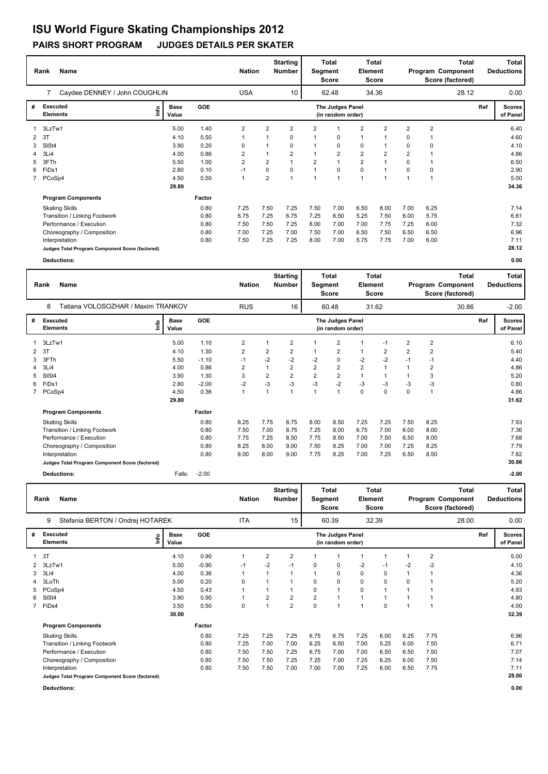| Rank       | Name                                            |                      |            | <b>Nation</b>           |                | <b>Starting</b><br><b>Number</b> | Segment        | Total<br><b>Score</b>                 | Element        | <b>Total</b><br><b>Score</b> |                |                | <b>Total</b><br>Program Component<br>Score (factored) |     | <b>Total</b><br><b>Deductions</b> |
|------------|-------------------------------------------------|----------------------|------------|-------------------------|----------------|----------------------------------|----------------|---------------------------------------|----------------|------------------------------|----------------|----------------|-------------------------------------------------------|-----|-----------------------------------|
|            | Caydee DENNEY / John COUGHLIN                   |                      |            | <b>USA</b>              |                | 10                               |                | 62.48                                 |                | 34.36                        |                |                | 28.12                                                 |     | 0.00                              |
| #          | Executed<br>lnfo<br><b>Elements</b>             | <b>Base</b><br>Value | <b>GOE</b> |                         |                |                                  |                | The Judges Panel<br>(in random order) |                |                              |                |                |                                                       | Ref | <b>Scores</b><br>of Panel         |
|            | 3LzTw1                                          | 5.00                 | 1.40       | 2                       | 2              | $\overline{2}$                   | $\overline{2}$ |                                       | 2              | $\overline{2}$               | $\overline{2}$ | $\overline{2}$ |                                                       |     | 6.40                              |
| -3T<br>2   |                                                 | 4.10                 | 0.50       |                         |                | 0                                |                | 0                                     | $\mathbf{1}$   |                              | 0              |                |                                                       |     | 4.60                              |
| SISt4<br>3 |                                                 | 3.90                 | 0.20       | 0                       |                | 0                                |                | 0                                     | 0              |                              | 0              | $\Omega$       |                                                       |     | 4.10                              |
| 3Li4       |                                                 | 4.00                 | 0.86       | $\overline{2}$          |                | $\overline{2}$                   |                | $\overline{2}$                        | $\overline{2}$ | 2                            | $\overline{2}$ |                |                                                       |     | 4.86                              |
| 3FTh<br>5  |                                                 | 5.50                 | 1.00       | $\overline{\mathbf{c}}$ | 2              |                                  | $\overline{2}$ |                                       | $\overline{2}$ |                              | 0              |                |                                                       |     | 6.50                              |
| FiDs1<br>6 |                                                 | 2.80                 | 0.10       | $-1$                    | 0              | $\Omega$                         |                | 0                                     | $\mathbf 0$    |                              | 0              | 0              |                                                       |     | 2.90                              |
|            | PCoSp4                                          | 4.50                 | 0.50       | 1                       | $\overline{2}$ |                                  |                |                                       | $\overline{1}$ |                              | 4              |                |                                                       |     | 5.00                              |
|            |                                                 | 29.80                |            |                         |                |                                  |                |                                       |                |                              |                |                |                                                       |     | 34.36                             |
|            | <b>Program Components</b>                       |                      | Factor     |                         |                |                                  |                |                                       |                |                              |                |                |                                                       |     |                                   |
|            | <b>Skating Skills</b>                           |                      | 0.80       | 7.25                    | 7.50           | 7.25                             | 7.50           | 7.00                                  | 6.50           | 8.00                         | 7.00           | 6.25           |                                                       |     | 7.14                              |
|            | Transition / Linking Footwork                   |                      | 0.80       | 6.75                    | 7.25           | 6.75                             | 7.25           | 6.50                                  | 5.25           | 7.50                         | 6.00           | 5.75           |                                                       |     | 6.61                              |
|            | Performance / Execution                         |                      | 0.80       | 7.50                    | 7.50           | 7.25                             | 8.00           | 7.00                                  | 7.00           | 7.75                         | 7.25           | 6.00           |                                                       |     | 7.32                              |
|            | Choreography / Composition                      |                      | 0.80       | 7.00                    | 7.25           | 7.00                             | 7.50           | 7.00                                  | 6.50           | 7.50                         | 6.50           | 6.50           |                                                       |     | 6.96                              |
|            | Interpretation                                  |                      | 0.80       | 7.50                    | 7.25           | 7.25                             | 8.00           | 7.00                                  | 5.75           | 7.75                         | 7.00           | 6.00           |                                                       |     | 7.11                              |
|            | Judges Total Program Component Score (factored) |                      |            |                         |                |                                  |                |                                       |                |                              |                |                |                                                       |     | 28.12                             |

**Deductions: 0.00**

|   | Rank<br>Name                                    |                      |            | <b>Nation</b>           |                | <b>Starting</b><br><b>Number</b> | Segment        | <b>Total</b><br><b>Score</b>          | Element        | Total<br><b>Score</b> |                |                | <b>Total</b><br>Program Component<br>Score (factored) |     | Total<br><b>Deductions</b> |
|---|-------------------------------------------------|----------------------|------------|-------------------------|----------------|----------------------------------|----------------|---------------------------------------|----------------|-----------------------|----------------|----------------|-------------------------------------------------------|-----|----------------------------|
|   | Tatiana VOLOSOZHAR / Maxim TRANKOV<br>8         |                      |            | <b>RUS</b>              |                | 16                               |                | 60.48                                 |                | 31.62                 |                |                | 30.86                                                 |     | $-2.00$                    |
| # | <b>Executed</b><br>lnfo<br><b>Elements</b>      | <b>Base</b><br>Value | <b>GOE</b> |                         |                |                                  |                | The Judges Panel<br>(in random order) |                |                       |                |                |                                                       | Ref | <b>Scores</b><br>of Panel  |
|   | 3LzTw1                                          | 5.00                 | 1.10       | $\overline{\mathbf{c}}$ |                | $\overline{2}$                   | 1              | $\overline{2}$                        | 1              | $-1$                  | $\overline{2}$ | $\overline{2}$ |                                                       |     | 6.10                       |
| 2 | 3T                                              | 4.10                 | 1.30       | $\overline{\mathbf{c}}$ | $\overline{2}$ | 2                                | 1              | $\overline{2}$                        | $\overline{1}$ | 2                     | $\overline{2}$ | $\overline{2}$ |                                                       |     | 5.40                       |
| 3 | 3FTh                                            | 5.50                 | $-1.10$    | $-1$                    | $-2$           | $-2$                             | $-2$           | $\mathbf 0$                           | $-2$           | $-2$                  | $-1$           | $-1$           |                                                       |     | 4.40                       |
| 4 | 3Li4                                            | 4.00                 | 0.86       | 2                       |                | $\overline{2}$                   | $\overline{2}$ | $\overline{2}$                        | $\overline{2}$ | $\mathbf{1}$          |                | 2              |                                                       |     | 4.86                       |
| 5 | SISt4                                           | 3.90                 | 1.30       | 3                       | $\overline{2}$ | $\overline{2}$                   | $\overline{2}$ | $\overline{2}$                        | 1              | 1                     |                | 3              |                                                       |     | 5.20                       |
| 6 | FiDs1                                           | 2.80                 | $-2.00$    | $-2$                    | $-3$           | $-3$                             | $-3$           | $-2$                                  | $-3$           | $-3$                  | -3             | $-3$           |                                                       |     | 0.80                       |
|   | PCoSp4                                          | 4.50                 | 0.36       | $\mathbf{1}$            |                | 1                                | $\mathbf{1}$   | $\overline{1}$                        | $\mathbf 0$    | 0                     | 0              | 1              |                                                       |     | 4.86                       |
|   |                                                 | 29.80                |            |                         |                |                                  |                |                                       |                |                       |                |                |                                                       |     | 31.62                      |
|   | <b>Program Components</b>                       |                      | Factor     |                         |                |                                  |                |                                       |                |                       |                |                |                                                       |     |                            |
|   | <b>Skating Skills</b>                           |                      | 0.80       | 8.25                    | 7.75           | 8.75                             | 8.00           | 8.50                                  | 7.25           | 7.25                  | 7.50           | 8.25           |                                                       |     | 7.93                       |
|   | Transition / Linking Footwork                   |                      | 0.80       | 7.50                    | 7.00           | 8.75                             | 7.25           | 8.00                                  | 6.75           | 7.00                  | 6.00           | 8.00           |                                                       |     | 7.36                       |
|   | Performance / Execution                         |                      | 0.80       | 7.75                    | 7.25           | 8.50                             | 7.75           | 8.50                                  | 7.00           | 7.50                  | 6.50           | 8.00           |                                                       |     | 7.68                       |
|   | Choreography / Composition                      |                      | 0.80       | 8.25                    | 8.00           | 9.00                             | 7.50           | 8.25                                  | 7.00           | 7.00                  | 7.25           | 8.25           |                                                       |     | 7.79                       |
|   | Interpretation                                  |                      | 0.80       | 8.00                    | 8.00           | 9.00                             | 7.75           | 8.25                                  | 7.00           | 7.25                  | 6.50           | 8.50           |                                                       |     | 7.82                       |
|   | Judges Total Program Component Score (factored) |                      |            |                         |                |                                  |                |                                       |                |                       |                |                |                                                       |     | 30.86                      |
|   | Deductions:                                     | Falls:               | $-2.00$    |                         |                |                                  |                |                                       |                |                       |                |                |                                                       |     | $-2.00$                    |

|              | Name<br>Rank                                    |                      |         | <b>Nation</b> |                | <b>Starting</b><br><b>Number</b> | Segment        | Total<br><b>Score</b>                 | Element                 | Total<br>Score |      |                         | <b>Total</b><br>Program Component<br>Score (factored) |     | Total<br><b>Deductions</b> |
|--------------|-------------------------------------------------|----------------------|---------|---------------|----------------|----------------------------------|----------------|---------------------------------------|-------------------------|----------------|------|-------------------------|-------------------------------------------------------|-----|----------------------------|
|              | 9<br>Stefania BERTON / Ondrej HOTAREK           |                      |         | <b>ITA</b>    |                | 15 <sub>1</sub>                  |                | 60.39                                 |                         | 32.39          |      |                         | 28.00                                                 |     | 0.00                       |
| #            | <b>Executed</b><br>e<br><b>Elements</b>         | <b>Base</b><br>Value | GOE     |               |                |                                  |                | The Judges Panel<br>(in random order) |                         |                |      |                         |                                                       | Ref | <b>Scores</b><br>of Panel  |
|              | 3T                                              | 4.10                 | 0.90    | 1             | $\overline{2}$ | 2                                |                | $\mathbf 1$                           |                         |                |      | $\overline{2}$          |                                                       |     | 5.00                       |
| $\mathbf{2}$ | 3LzTw1                                          | 5.00                 | $-0.90$ | $-1$          | -2             | $-1$                             | 0              | 0                                     | $-2$                    | $-1$           | -2   | $-2$                    |                                                       |     | 4.10                       |
| 3            | 3Li4                                            | 4.00                 | 0.36    | 1             |                |                                  |                | 0                                     | 0                       | 0              |      |                         |                                                       |     | 4.36                       |
|              | 3LoTh                                           | 5.00                 | 0.20    | 0             |                |                                  | 0              | 0                                     | 0                       | 0              | 0    |                         |                                                       |     | 5.20                       |
| 5            | PCoSp4                                          | 4.50                 | 0.43    |               |                |                                  | 0              | $\mathbf{1}$                          | 0                       |                |      | 1                       |                                                       |     | 4.93                       |
| 6            | SISt4                                           | 3.90                 | 0.90    | 1             | 2              | 2                                | $\overline{2}$ | 1                                     | $\mathbf{1}$            |                |      |                         |                                                       |     | 4.80                       |
|              | FiDs4                                           | 3.50                 | 0.50    | 0             |                | 2                                | 0              | 1                                     | $\overline{\mathbf{1}}$ | 0              |      | $\overline{\mathbf{1}}$ |                                                       |     | 4.00                       |
|              |                                                 | 30.00                |         |               |                |                                  |                |                                       |                         |                |      |                         |                                                       |     | 32.39                      |
|              | <b>Program Components</b>                       |                      | Factor  |               |                |                                  |                |                                       |                         |                |      |                         |                                                       |     |                            |
|              | <b>Skating Skills</b>                           |                      | 0.80    | 7.25          | 7.25           | 7.25                             | 6.75           | 6.75                                  | 7.25                    | 6.00           | 6.25 | 7.75                    |                                                       |     | 6.96                       |
|              | Transition / Linking Footwork                   |                      | 0.80    | 7.25          | 7.00           | 7.00                             | 6.25           | 6.50                                  | 7.00                    | 5.25           | 6.00 | 7.50                    |                                                       |     | 6.71                       |
|              | Performance / Execution                         |                      | 0.80    | 7.50          | 7.50           | 7.25                             | 6.75           | 7.00                                  | 7.00                    | 6.50           | 6.50 | 7.50                    |                                                       |     | 7.07                       |
|              | Choreography / Composition                      |                      | 0.80    | 7.50          | 7.50           | 7.25                             | 7.25           | 7.00                                  | 7.25                    | 6.25           | 6.00 | 7.50                    |                                                       |     | 7.14                       |
|              | Interpretation                                  |                      | 0.80    | 7.50          | 7.50           | 7.00                             | 7.00           | 7.00                                  | 7.25                    | 6.00           | 6.50 | 7.75                    |                                                       |     | 7.11                       |
|              | Judges Total Program Component Score (factored) |                      |         |               |                |                                  |                |                                       |                         |                |      |                         |                                                       |     | 28.00                      |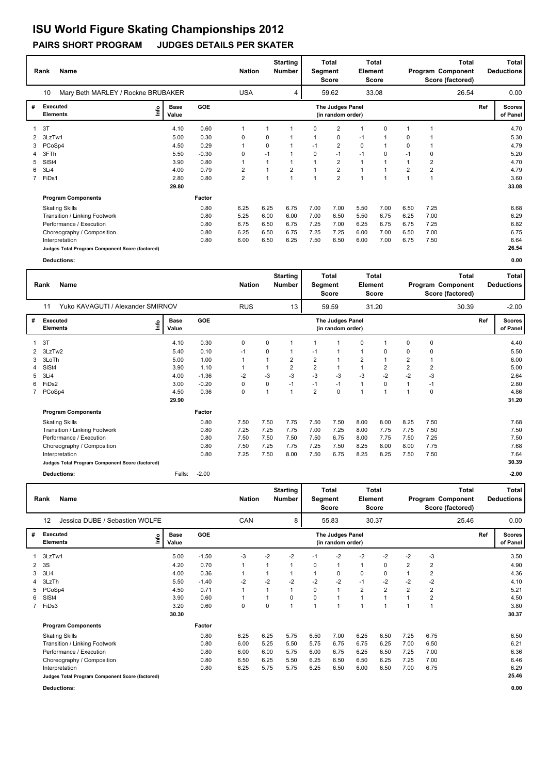|             | Name<br>Rank                                    |                              |            | <b>Nation</b>  |      | <b>Starting</b><br><b>Number</b> |                         | Total<br>Segment<br><b>Score</b>      | Element      | Total<br><b>Score</b> |                |                | Total<br>Program Component<br>Score (factored) |     | Total<br><b>Deductions</b> |
|-------------|-------------------------------------------------|------------------------------|------------|----------------|------|----------------------------------|-------------------------|---------------------------------------|--------------|-----------------------|----------------|----------------|------------------------------------------------|-----|----------------------------|
|             | Mary Beth MARLEY / Rockne BRUBAKER<br>10        |                              |            | <b>USA</b>     |      | 4                                |                         | 59.62                                 |              | 33.08                 |                |                | 26.54                                          |     | 0.00                       |
| #           | Executed<br><b>Elements</b>                     | <b>Base</b><br>lnfo<br>Value | <b>GOE</b> |                |      |                                  |                         | The Judges Panel<br>(in random order) |              |                       |                |                |                                                | Ref | <b>Scores</b><br>of Panel  |
|             | 3T                                              | 4.10                         | 0.60       |                |      |                                  | 0                       | $\overline{2}$                        | 1            | 0                     |                |                |                                                |     | 4.70                       |
| 2           | 3LzTw1                                          | 5.00                         | 0.30       | 0              | 0    |                                  |                         | 0                                     | $-1$         |                       | 0              |                |                                                |     | 5.30                       |
| 3           | PCoSp4                                          | 4.50                         | 0.29       |                | 0    |                                  | $-1$                    | $\overline{2}$                        | $\mathbf 0$  |                       | 0              |                |                                                |     | 4.79                       |
| 4           | 3FTh                                            | 5.50                         | $-0.30$    | 0              | $-1$ |                                  | $\Omega$                | $-1$                                  | $-1$         | 0                     | $-1$           | 0              |                                                |     | 5.20                       |
| 5           | SISt4                                           | 3.90                         | 0.80       | 1              |      |                                  |                         | $\overline{2}$                        | $\mathbf{1}$ |                       |                | $\overline{2}$ |                                                |     | 4.70                       |
| 6           | 3Li4                                            | 4.00                         | 0.79       | $\overline{2}$ |      | $\overline{2}$                   |                         | $\overline{2}$                        | $\mathbf{1}$ |                       | $\overline{2}$ | 2              |                                                |     | 4.79                       |
| $7^{\circ}$ | FiDs1                                           | 2.80                         | 0.80       | $\overline{2}$ |      | 1                                | $\overline{\mathbf{A}}$ | $\overline{2}$                        | 1            |                       |                | 1              |                                                |     | 3.60                       |
|             |                                                 | 29.80                        |            |                |      |                                  |                         |                                       |              |                       |                |                |                                                |     | 33.08                      |
|             | <b>Program Components</b>                       |                              | Factor     |                |      |                                  |                         |                                       |              |                       |                |                |                                                |     |                            |
|             | <b>Skating Skills</b>                           |                              | 0.80       | 6.25           | 6.25 | 6.75                             | 7.00                    | 7.00                                  | 5.50         | 7.00                  | 6.50           | 7.25           |                                                |     | 6.68                       |
|             | Transition / Linking Footwork                   |                              | 0.80       | 5.25           | 6.00 | 6.00                             | 7.00                    | 6.50                                  | 5.50         | 6.75                  | 6.25           | 7.00           |                                                |     | 6.29                       |
|             | Performance / Execution                         |                              | 0.80       | 6.75           | 6.50 | 6.75                             | 7.25                    | 7.00                                  | 6.25         | 6.75                  | 6.75           | 7.25           |                                                |     | 6.82                       |
|             | Choreography / Composition                      |                              | 0.80       | 6.25           | 6.50 | 6.75                             | 7.25                    | 7.25                                  | 6.00         | 7.00                  | 6.50           | 7.00           |                                                |     | 6.75                       |
|             | Interpretation                                  |                              | 0.80       | 6.00           | 6.50 | 6.25                             | 7.50                    | 6.50                                  | 6.00         | 7.00                  | 6.75           | 7.50           |                                                |     | 6.64                       |
|             | Judges Total Program Component Score (factored) |                              |            |                |      |                                  |                         |                                       |              |                       |                |                |                                                |     | 26.54                      |

**Deductions: 0.00**

|                | Name<br>Rank                                    |                              |            | <b>Nation</b> |      | <b>Starting</b><br>Number | Segment        | Total<br><b>Score</b>                 | Element        | <b>Total</b><br><b>Score</b> |                |             | <b>Total</b><br>Program Component<br>Score (factored) |     | <b>Total</b><br><b>Deductions</b> |
|----------------|-------------------------------------------------|------------------------------|------------|---------------|------|---------------------------|----------------|---------------------------------------|----------------|------------------------------|----------------|-------------|-------------------------------------------------------|-----|-----------------------------------|
|                | Yuko KAVAGUTI / Alexander SMIRNOV<br>11         |                              |            | <b>RUS</b>    |      | 13                        |                | 59.59                                 |                | 31.20                        |                |             | 30.39                                                 |     | $-2.00$                           |
| #              | <b>Executed</b><br><b>Elements</b>              | <b>Base</b><br>١nf٥<br>Value | <b>GOE</b> |               |      |                           |                | The Judges Panel<br>(in random order) |                |                              |                |             |                                                       | Ref | <b>Scores</b><br>of Panel         |
|                | 3T                                              | 4.10                         | 0.30       | 0             | 0    | $\overline{\mathbf{1}}$   |                | 1                                     | 0              |                              | 0              | $\mathbf 0$ |                                                       |     | 4.40                              |
| $\overline{2}$ | 3LzTw2                                          | 5.40                         | 0.10       | $-1$          | 0    | -1                        | $-1$           | -1                                    | $\mathbf{1}$   | 0                            | 0              | 0           |                                                       |     | 5.50                              |
| 3              | 3LoTh                                           | 5.00                         | 1.00       |               |      | $\overline{2}$            | $\overline{2}$ | $\overline{1}$                        | $\overline{2}$ |                              | $\overline{2}$ |             |                                                       |     | 6.00                              |
| 4              | SISt4                                           | 3.90                         | 1.10       |               |      | $\overline{2}$            | $\overline{2}$ | -1                                    | 1              | 2                            | $\overline{2}$ | 2           |                                                       |     | 5.00                              |
| 5              | 3Li4                                            | 4.00                         | $-1.36$    | $-2$          | $-3$ | $-3$                      | $-3$           | $-3$                                  | $-3$           | $-2$                         | $-2$           | $-3$        |                                                       |     | 2.64                              |
| 6              | FiDs2                                           | 3.00                         | $-0.20$    | 0             | 0    | $-1$                      | $-1$           | $-1$                                  | 1              | 0                            |                | $-1$        |                                                       |     | 2.80                              |
|                | PCoSp4                                          | 4.50                         | 0.36       | 0             | 1    | $\overline{1}$            | 2              | $\Omega$                              | 1              |                              |                | $\Omega$    |                                                       |     | 4.86                              |
|                |                                                 | 29.90                        |            |               |      |                           |                |                                       |                |                              |                |             |                                                       |     | 31.20                             |
|                | <b>Program Components</b>                       |                              | Factor     |               |      |                           |                |                                       |                |                              |                |             |                                                       |     |                                   |
|                | <b>Skating Skills</b>                           |                              | 0.80       | 7.50          | 7.50 | 7.75                      | 7.50           | 7.50                                  | 8.00           | 8.00                         | 8.25           | 7.50        |                                                       |     | 7.68                              |
|                | Transition / Linking Footwork                   |                              | 0.80       | 7.25          | 7.25 | 7.75                      | 7.00           | 7.25                                  | 8.00           | 7.75                         | 7.75           | 7.50        |                                                       |     | 7.50                              |
|                | Performance / Execution                         |                              | 0.80       | 7.50          | 7.50 | 7.50                      | 7.50           | 6.75                                  | 8.00           | 7.75                         | 7.50           | 7.25        |                                                       |     | 7.50                              |
|                | Choreography / Composition                      |                              | 0.80       | 7.50          | 7.25 | 7.75                      | 7.25           | 7.50                                  | 8.25           | 8.00                         | 8.00           | 7.75        |                                                       |     | 7.68                              |
|                | Interpretation                                  |                              | 0.80       | 7.25          | 7.50 | 8.00                      | 7.50           | 6.75                                  | 8.25           | 8.25                         | 7.50           | 7.50        |                                                       |     | 7.64                              |
|                | Judges Total Program Component Score (factored) |                              |            |               |      |                           |                |                                       |                |                              |                |             |                                                       |     | 30.39                             |
|                | Deductions:                                     | Falls:                       | $-2.00$    |               |      |                           |                |                                       |                |                              |                |             |                                                       |     | $-2.00$                           |

|                | <b>Name</b><br>Rank                             |                      |            | <b>Nation</b>  |                | <b>Starting</b><br><b>Number</b> | Segment  | <b>Total</b><br><b>Score</b>          | Element        | Total<br><b>Score</b> |                |                | Total<br>Program Component<br>Score (factored) |     | Total<br><b>Deductions</b> |
|----------------|-------------------------------------------------|----------------------|------------|----------------|----------------|----------------------------------|----------|---------------------------------------|----------------|-----------------------|----------------|----------------|------------------------------------------------|-----|----------------------------|
|                | 12<br>Jessica DUBE / Sebastien WOLFE            |                      |            | CAN            |                | 8                                |          | 55.83                                 |                | 30.37                 |                |                | 25.46                                          |     | 0.00                       |
| #              | Executed<br><u>lnfo</u><br><b>Elements</b>      | <b>Base</b><br>Value | <b>GOE</b> |                |                |                                  |          | The Judges Panel<br>(in random order) |                |                       |                |                |                                                | Ref | <b>Scores</b><br>of Panel  |
|                | 1 3LzTw1                                        | 5.00                 | $-1.50$    | -3             | $-2$           | $-2$                             | $-1$     | $-2$                                  | $-2$           | $-2$                  | $-2$           | -3             |                                                |     | 3.50                       |
| $\overline{2}$ | 3S                                              | 4.20                 | 0.70       | $\overline{1}$ | 1              | 1                                | $\Omega$ | 1                                     | $\mathbf{1}$   | 0                     | $\overline{2}$ | $\overline{2}$ |                                                |     | 4.90                       |
| 3              | 3Li4                                            | 4.00                 | 0.36       | 1              |                | 1                                |          | 0                                     | 0              | 0                     |                | $\overline{2}$ |                                                |     | 4.36                       |
| 4              | 3LzTh                                           | 5.50                 | $-1.40$    | $-2$           | $-2$           | $-2$                             | $-2$     | $-2$                                  | $-1$           | $-2$                  | $-2$           | $-2$           |                                                |     | 4.10                       |
| 5              | PCoSp4                                          | 4.50                 | 0.71       | 1              | $\overline{A}$ | 1                                | $\Omega$ | $\mathbf{1}$                          | $\overline{2}$ | $\overline{2}$        | $\overline{2}$ | 2              |                                                |     | 5.21                       |
| 6              | SISt4                                           | 3.90                 | 0.60       |                |                | 0                                | $\Omega$ | 1                                     | 1              |                       |                | $\overline{2}$ |                                                |     | 4.50                       |
|                | 7 FiDs3                                         | 3.20                 | 0.60       | 0              | 0              | 1                                |          | 1                                     | 1              |                       |                | $\overline{1}$ |                                                |     | 3.80                       |
|                |                                                 | 30.30                |            |                |                |                                  |          |                                       |                |                       |                |                |                                                |     | 30.37                      |
|                | <b>Program Components</b>                       |                      | Factor     |                |                |                                  |          |                                       |                |                       |                |                |                                                |     |                            |
|                | <b>Skating Skills</b>                           |                      | 0.80       | 6.25           | 6.25           | 5.75                             | 6.50     | 7.00                                  | 6.25           | 6.50                  | 7.25           | 6.75           |                                                |     | 6.50                       |
|                | Transition / Linking Footwork                   |                      | 0.80       | 6.00           | 5.25           | 5.50                             | 5.75     | 6.75                                  | 6.75           | 6.25                  | 7.00           | 6.50           |                                                |     | 6.21                       |
|                | Performance / Execution                         |                      | 0.80       | 6.00           | 6.00           | 5.75                             | 6.00     | 6.75                                  | 6.25           | 6.50                  | 7.25           | 7.00           |                                                |     | 6.36                       |
|                | Choreography / Composition                      |                      | 0.80       | 6.50           | 6.25           | 5.50                             | 6.25     | 6.50                                  | 6.50           | 6.25                  | 7.25           | 7.00           |                                                |     | 6.46                       |
|                | Interpretation                                  |                      | 0.80       | 6.25           | 5.75           | 5.75                             | 6.25     | 6.50                                  | 6.00           | 6.50                  | 7.00           | 6.75           |                                                |     | 6.29                       |
|                | Judges Total Program Component Score (factored) |                      |            |                |                |                                  |          |                                       |                |                       |                |                |                                                |     | 25.46                      |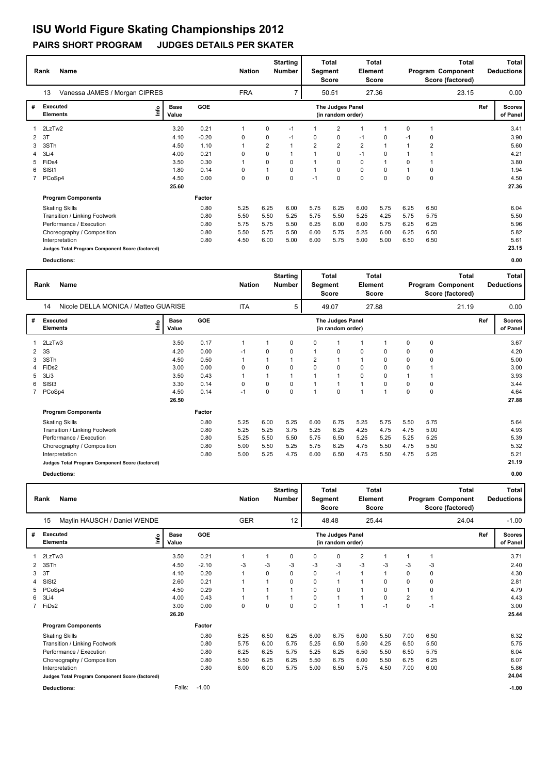#### **Rank Name Total Nation** Number | Segment Element Program Component Deductions **Total Segment Score Total Element Score Total Score (factored) Starting Number** Vanessa JAMES / Morgan CIPRES FRA 7 50.51 27.36 **# Executed Elements Base Value GOE Scores The Judges Panel of Panel** 1 3.20 0.21 1 0 -1 1 2 1 1 0 1 **Ref**  3.41 13 **(in random order)** 23.15 2LzTw2 **Info** 7 | 50.51 27.36 23.15 0.00 2 3T 4.10 -0.20 0 0 -1 0 0 -1 0 -1 0 3.90 3 3STh 4.50 1.10 1 2 1 2 2 2 1 1 2 5.60 4 3Li4 4.00 0.21 0 0 1 1 0 -1 0 1 1 4.21 5 FiDs4 3.50 0.30 1 0 0 1 0 0 1 0 1 3.80 6 SlSt1 1.80 0.14 0 1 0 1 0 0 0 1 0 1.94 7 PCoSp4 4.50 0.00 0 0 0 -1 0 0 0 0 0 4.50  **25.60 Program Components**  Skating Skills 5.25 6.25 6.00 5.75 6.25 6.00 5.75 6.25 6.50 **Factor** 0.80 6.04  **27.36** Transition / Linking Footwork 0.80 5.50 5.50 5.25 5.75 5.50 5.25 4.25 5.75 5.75 5.50 Performance / Execution 0.80 5.75 5.75 5.50 6.25 6.00 6.00 5.75 6.25 6.25 5.96 Choreography / Composition<br>Interpretation Interpretation 0.80 4.50 6.00 5.00 6.00 5.75 5.00 5.00 6.50 6.50 5.61 **Judges Total Program Component Score (factored) 23.15**

|   | Rank                        | <b>Name</b>                                     |                              |        |            |          |             |                | Total<br>Segment<br><b>Score</b>      |              | <b>Total</b><br>Element<br>Score |      | <b>Total</b><br>Program Component<br>Score (factored) |       |     | <b>Total</b><br><b>Deductions</b> |
|---|-----------------------------|-------------------------------------------------|------------------------------|--------|------------|----------|-------------|----------------|---------------------------------------|--------------|----------------------------------|------|-------------------------------------------------------|-------|-----|-----------------------------------|
|   | 14                          | Nicole DELLA MONICA / Matteo GUARISE            |                              |        | <b>ITA</b> |          | 5           |                | 49.07                                 |              | 27.88                            |      |                                                       | 21.19 |     | 0.00                              |
| # | Executed<br><b>Elements</b> |                                                 | <b>Base</b><br>lnfo<br>Value | GOE    |            |          |             |                | The Judges Panel<br>(in random order) |              |                                  |      |                                                       |       | Ref | <b>Scores</b><br>of Panel         |
|   | 2LzTw3                      |                                                 | 3.50                         | 0.17   | 1          |          | $\Omega$    | 0              | 1                                     | 1            |                                  | 0    | 0                                                     |       |     | 3.67                              |
| 2 | 3S                          |                                                 | 4.20                         | 0.00   | $-1$       | 0        | 0           |                | $\mathbf 0$                           | 0            | 0                                | 0    | 0                                                     |       |     | 4.20                              |
| 3 | 3STh                        |                                                 | 4.50                         | 0.50   |            |          |             | $\overline{2}$ | $\overline{1}$                        | 1            | 0                                | 0    | 0                                                     |       |     | 5.00                              |
| 4 | FiDs2                       |                                                 | 3.00                         | 0.00   | 0          | $\Omega$ | $\Omega$    | $\Omega$       | $\Omega$                              | $\Omega$     | $\Omega$                         | 0    |                                                       |       |     | 3.00                              |
| 5 | 3Li3                        |                                                 | 3.50                         | 0.43   | 1          | 1        |             |                | 1                                     | 0            | 0                                |      |                                                       |       |     | 3.93                              |
| 6 | SISt <sub>3</sub>           |                                                 | 3.30                         | 0.14   | 0          | 0        | $\Omega$    |                | 1                                     | $\mathbf{1}$ | $\Omega$                         | 0    | 0                                                     |       |     | 3.44                              |
|   | 7 PCoSp4                    |                                                 | 4.50                         | 0.14   | $-1$       | 0        | $\mathbf 0$ |                | $\mathbf 0$                           | $\mathbf{1}$ | 1                                | 0    | 0                                                     |       |     | 4.64                              |
|   |                             |                                                 | 26.50                        |        |            |          |             |                |                                       |              |                                  |      |                                                       |       |     | 27.88                             |
|   |                             | <b>Program Components</b>                       |                              | Factor |            |          |             |                |                                       |              |                                  |      |                                                       |       |     |                                   |
|   |                             | <b>Skating Skills</b>                           |                              | 0.80   | 5.25       | 6.00     | 5.25        | 6.00           | 6.75                                  | 5.25         | 5.75                             | 5.50 | 5.75                                                  |       |     | 5.64                              |
|   |                             | Transition / Linking Footwork                   |                              | 0.80   | 5.25       | 5.25     | 3.75        | 5.25           | 6.25                                  | 4.25         | 4.75                             | 4.75 | 5.00                                                  |       |     | 4.93                              |
|   |                             | Performance / Execution                         |                              | 0.80   | 5.25       | 5.50     | 5.50        | 5.75           | 6.50                                  | 5.25         | 5.25                             | 5.25 | 5.25                                                  |       |     | 5.39                              |
|   |                             | Choreography / Composition                      |                              | 0.80   | 5.00       | 5.50     | 5.25        | 5.75           | 6.25                                  | 4.75         | 5.50                             | 4.75 | 5.50                                                  |       |     | 5.32                              |
|   |                             | Interpretation                                  |                              | 0.80   | 5.00       | 5.25     | 4.75        | 6.00           | 6.50                                  | 4.75         | 5.50                             | 4.75 | 5.25                                                  |       |     | 5.21                              |
|   |                             | Judges Total Program Component Score (factored) |                              |        |            |          |             |                |                                       |              |                                  |      |                                                       |       |     | 21.19                             |
|   |                             | Deductions:                                     |                              |        |            |          |             |                |                                       |              |                                  |      |                                                       |       |     | 0.00                              |

|   | Rank                        | Name                                            |                      | <b>Starting</b><br><b>Nation</b><br><b>Number</b> |                | Total<br>Segment<br><b>Score</b> |          | <b>Total</b><br>Element<br><b>Score</b> |                                       | <b>Total</b><br>Program Component<br>Score (factored) |             |          | Total<br><b>Deductions</b> |  |     |                           |
|---|-----------------------------|-------------------------------------------------|----------------------|---------------------------------------------------|----------------|----------------------------------|----------|-----------------------------------------|---------------------------------------|-------------------------------------------------------|-------------|----------|----------------------------|--|-----|---------------------------|
|   | 15                          | Maylin HAUSCH / Daniel WENDE                    |                      |                                                   | <b>GER</b>     |                                  | 12       | 48.48                                   |                                       | 25.44                                                 |             |          | 24.04                      |  |     | $-1.00$                   |
| # | Executed<br><b>Elements</b> | ۴ů                                              | <b>Base</b><br>Value | GOE                                               |                |                                  |          |                                         | The Judges Panel<br>(in random order) |                                                       |             |          |                            |  | Ref | <b>Scores</b><br>of Panel |
|   | 2LzTw3                      |                                                 | 3.50                 | 0.21                                              |                | 1                                | 0        | 0                                       | 0                                     | 2                                                     |             |          | -1                         |  |     | 3.71                      |
| 2 | 3STh                        |                                                 | 4.50                 | $-2.10$                                           | -3             | $-3$                             | -3       | -3                                      | $-3$                                  | $-3$                                                  | -3          | -3       | -3                         |  |     | 2.40                      |
| 3 | 3T                          |                                                 | 4.10                 | 0.20                                              | $\overline{1}$ | 0                                | 0        | 0                                       | $-1$                                  | $\mathbf{1}$                                          | $\mathbf 1$ | 0        | $\mathbf 0$                |  |     | 4.30                      |
| 4 | SISt <sub>2</sub>           |                                                 | 2.60                 | 0.21                                              |                | $\mathbf 1$                      | 0        | 0                                       | $\mathbf{1}$                          | 1                                                     | 0           | 0        | 0                          |  |     | 2.81                      |
| 5 | PCoSp4                      |                                                 | 4.50                 | 0.29                                              |                |                                  |          | 0                                       | 0                                     | 1                                                     | 0           |          | 0                          |  |     | 4.79                      |
| 6 | 3Li4                        |                                                 | 4.00                 | 0.43                                              | 1              | 1                                |          | 0                                       | $\mathbf{1}$                          | $\mathbf{1}$                                          | $\Omega$    | 2        | $\mathbf 1$                |  |     | 4.43                      |
|   | 7 FiDs2                     |                                                 | 3.00                 | 0.00                                              | $\Omega$       | $\Omega$                         | $\Omega$ | 0                                       | 1                                     | $\mathbf 1$                                           | $-1$        | $\Omega$ | $-1$                       |  |     | 3.00                      |
|   |                             |                                                 | 26.20                |                                                   |                |                                  |          |                                         |                                       |                                                       |             |          |                            |  |     | 25.44                     |
|   |                             | <b>Program Components</b>                       |                      | Factor                                            |                |                                  |          |                                         |                                       |                                                       |             |          |                            |  |     |                           |
|   |                             | <b>Skating Skills</b>                           |                      | 0.80                                              | 6.25           | 6.50                             | 6.25     | 6.00                                    | 6.75                                  | 6.00                                                  | 5.50        | 7.00     | 6.50                       |  |     | 6.32                      |
|   |                             | Transition / Linking Footwork                   |                      | 0.80                                              | 5.75           | 6.00                             | 5.75     | 5.25                                    | 6.50                                  | 5.50                                                  | 4.25        | 6.50     | 5.50                       |  |     | 5.75                      |
|   |                             | Performance / Execution                         |                      | 0.80                                              | 6.25           | 6.25                             | 5.75     | 5.25                                    | 6.25                                  | 6.50                                                  | 5.50        | 6.50     | 5.75                       |  |     | 6.04                      |
|   |                             | Choreography / Composition                      |                      | 0.80                                              | 5.50           | 6.25                             | 6.25     | 5.50                                    | 6.75                                  | 6.00                                                  | 5.50        | 6.75     | 6.25                       |  |     | 6.07                      |
|   |                             | Interpretation                                  |                      | 0.80                                              | 6.00           | 6.00                             | 5.75     | 5.00                                    | 6.50                                  | 5.75                                                  | 4.50        | 7.00     | 6.00                       |  |     | 5.86                      |
|   |                             | Judges Total Program Component Score (factored) |                      |                                                   |                |                                  |          |                                         |                                       |                                                       |             |          |                            |  |     | 24.04                     |
|   |                             | Deductions:                                     | Falls:               | $-1.00$                                           |                |                                  |          |                                         |                                       |                                                       |             |          |                            |  |     | $-1.00$                   |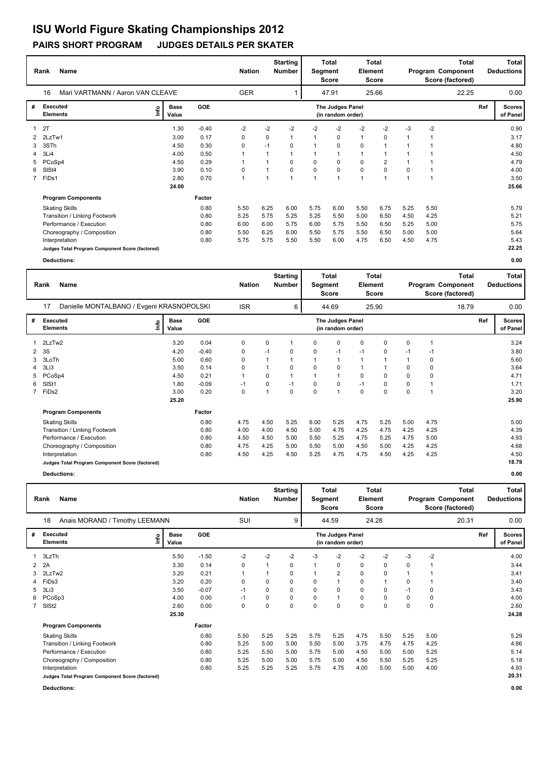|                | Name<br>Rank                                    |      |                      |            |              | <b>Nation</b> | <b>Starting</b><br><b>Number</b> | Segment        | <b>Total</b><br><b>Score</b>          | <b>Total</b><br>Element<br><b>Score</b> |       | Total<br>Program Component<br>Score (factored) |      |       | Total<br><b>Deductions</b> |                           |
|----------------|-------------------------------------------------|------|----------------------|------------|--------------|---------------|----------------------------------|----------------|---------------------------------------|-----------------------------------------|-------|------------------------------------------------|------|-------|----------------------------|---------------------------|
|                | Mari VARTMANN / Aaron VAN CLEAVE<br>16          |      |                      |            | <b>GER</b>   |               |                                  |                | 47.91                                 |                                         | 25.66 |                                                |      | 22.25 |                            | 0.00                      |
| #              | Executed<br><b>Elements</b>                     | lnfo | <b>Base</b><br>Value | <b>GOE</b> |              |               |                                  |                | The Judges Panel<br>(in random order) |                                         |       |                                                |      |       | Ref                        | <b>Scores</b><br>of Panel |
|                | 2T                                              |      | 1.30                 | $-0.40$    | $-2$         | $-2$          | $-2$                             | $-2$           | $-2$                                  | $-2$                                    | $-2$  | $-3$                                           | $-2$ |       |                            | 0.90                      |
| 2              | 2LzTw1                                          |      | 3.00                 | 0.17       | 0            | 0             | 1                                | 1              | 0                                     | 1                                       | 0     |                                                | 1    |       |                            | 3.17                      |
| 3              | 3STh                                            |      | 4.50                 | 0.30       | 0            | $-1$          | $\Omega$                         |                | 0                                     | 0                                       | 1     |                                                |      |       |                            | 4.80                      |
| 4              | 3Li4                                            |      | 4.00                 | 0.50       | 1            |               |                                  |                |                                       | 1                                       | 1     |                                                |      |       |                            | 4.50                      |
| 5              | PCoSp4                                          |      | 4.50                 | 0.29       | 1            |               | 0                                | 0              | 0                                     | $\mathbf 0$                             | 2     |                                                |      |       |                            | 4.79                      |
| 6              | SISt4                                           |      | 3.90                 | 0.10       | 0            |               | 0                                | $\Omega$       | 0                                     | $\mathbf 0$                             | 0     | $\Omega$                                       |      |       |                            | 4.00                      |
| $\overline{7}$ | FiDs1                                           |      | 2.80                 | 0.70       | $\mathbf{1}$ |               | $\mathbf{1}$                     | $\overline{1}$ | $\overline{1}$                        | $\overline{1}$                          | 1     |                                                | 1    |       |                            | 3.50                      |
|                |                                                 |      | 24.00                |            |              |               |                                  |                |                                       |                                         |       |                                                |      |       |                            | 25.66                     |
|                | <b>Program Components</b>                       |      |                      | Factor     |              |               |                                  |                |                                       |                                         |       |                                                |      |       |                            |                           |
|                | <b>Skating Skills</b>                           |      |                      | 0.80       | 5.50         | 6.25          | 6.00                             | 5.75           | 6.00                                  | 5.50                                    | 6.75  | 5.25                                           | 5.50 |       |                            | 5.79                      |
|                | Transition / Linking Footwork                   |      |                      | 0.80       | 5.25         | 5.75          | 5.25                             | 5.25           | 5.50                                  | 5.00                                    | 6.50  | 4.50                                           | 4.25 |       |                            | 5.21                      |
|                | Performance / Execution                         |      |                      | 0.80       | 6.00         | 6.00          | 5.75                             | 6.00           | 5.75                                  | 5.50                                    | 6.50  | 5.25                                           | 5.00 |       |                            | 5.75                      |
|                | Choreography / Composition                      |      |                      | 0.80       | 5.50         | 6.25          | 6.00                             | 5.50           | 5.75                                  | 5.50                                    | 6.50  | 5.00                                           | 5.00 |       |                            | 5.64                      |
|                | Interpretation                                  |      |                      | 0.80       | 5.75         | 5.75          | 5.50                             | 5.50           | 6.00                                  | 4.75                                    | 6.50  | 4.50                                           | 4.75 |       |                            | 5.43                      |
|                | Judges Total Program Component Score (factored) |      |                      |            |              |               |                                  |                |                                       |                                         |       |                                                |      |       |                            | 22.25                     |

**Deductions: 0.00**

|   | Name<br>Rank                       |                                                 |                      |            |            |      |          | Total<br><b>Starting</b><br><b>Nation</b><br><b>Number</b><br><b>Element</b><br>Segment<br><b>Score</b> |                                       |              |             | <b>Total</b><br>Program Component<br>Score (factored) |      |       | <b>Total</b><br><b>Deductions</b> |                           |
|---|------------------------------------|-------------------------------------------------|----------------------|------------|------------|------|----------|---------------------------------------------------------------------------------------------------------|---------------------------------------|--------------|-------------|-------------------------------------------------------|------|-------|-----------------------------------|---------------------------|
|   | 17                                 | Danielle MONTALBANO / Evgeni KRASNOPOLSKI       |                      |            | <b>ISR</b> |      | 6        |                                                                                                         | 44.69                                 |              | 25.90       |                                                       |      | 18.79 |                                   | 0.00                      |
| # | <b>Executed</b><br><b>Elements</b> | ١nf٥                                            | <b>Base</b><br>Value | <b>GOE</b> |            |      |          |                                                                                                         | The Judges Panel<br>(in random order) |              |             |                                                       |      |       | Ref                               | <b>Scores</b><br>of Panel |
| 1 | 2LzTw2                             |                                                 | 3.20                 | 0.04       | 0          | 0    | 1        | 0                                                                                                       | 0                                     | 0            | 0           | 0                                                     | 1    |       |                                   | 3.24                      |
| 2 | 3S                                 |                                                 | 4.20                 | $-0.40$    | 0          | $-1$ | 0        | 0                                                                                                       | $-1$                                  | $-1$         | 0           | $-1$                                                  | $-1$ |       |                                   | 3.80                      |
| 3 | 3LoTh                              |                                                 | 5.00                 | 0.60       | 0          |      | 1        |                                                                                                         | $\mathbf{1}$                          | $\mathbf{1}$ | 1           |                                                       | 0    |       |                                   | 5.60                      |
| 4 | 3Li3                               |                                                 | 3.50                 | 0.14       | 0          |      | 0        | 0                                                                                                       | 0                                     | $\mathbf{1}$ | $\mathbf 1$ | 0                                                     | 0    |       |                                   | 3.64                      |
| 5 | PCoSp4                             |                                                 | 4.50                 | 0.21       |            | 0    | 1        |                                                                                                         | $\mathbf{1}$                          | 0            | $\Omega$    | $\Omega$                                              | 0    |       |                                   | 4.71                      |
| 6 | SIS <sub>t1</sub>                  |                                                 | 1.80                 | $-0.09$    | $-1$       | 0    | $-1$     | 0                                                                                                       | 0                                     | $-1$         | 0           | 0                                                     |      |       |                                   | 1.71                      |
|   | 7 FiDs2                            |                                                 | 3.00                 | 0.20       | 0          |      | $\Omega$ | 0                                                                                                       | $\mathbf{1}$                          | $\mathbf 0$  | 0           | 0                                                     | 1    |       |                                   | 3.20                      |
|   |                                    |                                                 | 25.20                |            |            |      |          |                                                                                                         |                                       |              |             |                                                       |      |       |                                   | 25.90                     |
|   |                                    | <b>Program Components</b>                       |                      | Factor     |            |      |          |                                                                                                         |                                       |              |             |                                                       |      |       |                                   |                           |
|   | <b>Skating Skills</b>              |                                                 |                      | 0.80       | 4.75       | 4.50 | 5.25     | 6.00                                                                                                    | 5.25                                  | 4.75         | 5.25        | 5.00                                                  | 4.75 |       |                                   | 5.00                      |
|   |                                    | Transition / Linking Footwork                   |                      | 0.80       | 4.00       | 4.00 | 4.50     | 5.00                                                                                                    | 4.75                                  | 4.25         | 4.75        | 4.25                                                  | 4.25 |       |                                   | 4.39                      |
|   |                                    | Performance / Execution                         |                      | 0.80       | 4.50       | 4.50 | 5.00     | 5.50                                                                                                    | 5.25                                  | 4.75         | 5.25        | 4.75                                                  | 5.00 |       |                                   | 4.93                      |
|   |                                    | Choreography / Composition                      |                      | 0.80       | 4.75       | 4.25 | 5.00     | 5.50                                                                                                    | 5.00                                  | 4.50         | 5.00        | 4.25                                                  | 4.25 |       |                                   | 4.68                      |
|   | Interpretation                     |                                                 |                      | 0.80       | 4.50       | 4.25 | 4.50     | 5.25                                                                                                    | 4.75                                  | 4.75         | 4.50        | 4.25                                                  | 4.25 |       |                                   | 4.50                      |
|   |                                    | Judges Total Program Component Score (factored) |                      |            |            |      |          |                                                                                                         |                                       |              |             |                                                       |      |       |                                   | 18.79                     |
|   | Deductions:                        |                                                 |                      |            |            |      |          |                                                                                                         |                                       |              |             |                                                       |      |       |                                   | 0.00                      |

|   | Name<br>Rank                                    |                                |                      |         | <b>Nation</b> |                     | <b>Starting</b><br><b>Number</b> | Segment | Total<br><b>Score</b>                 | Total<br><b>Element</b><br><b>Score</b> |             | <b>Total</b><br>Program Component<br>Score (factored) |       |  | Total<br><b>Deductions</b> |                           |
|---|-------------------------------------------------|--------------------------------|----------------------|---------|---------------|---------------------|----------------------------------|---------|---------------------------------------|-----------------------------------------|-------------|-------------------------------------------------------|-------|--|----------------------------|---------------------------|
|   | 18                                              | Anais MORAND / Timothy LEEMANN |                      |         | <b>SUI</b>    | 9<br>44.59<br>24.28 |                                  |         |                                       |                                         |             |                                                       | 20.31 |  | 0.00                       |                           |
| # | <b>Executed</b><br><b>Elements</b>              | lnfo                           | <b>Base</b><br>Value | GOE     |               |                     |                                  |         | The Judges Panel<br>(in random order) |                                         |             |                                                       |       |  | Ref                        | <b>Scores</b><br>of Panel |
|   | 3LzTh                                           |                                | 5.50                 | $-1.50$ | $-2$          | $-2$                | $-2$                             | -3      | $-2$                                  | $-2$                                    | $-2$        | $-3$                                                  | $-2$  |  |                            | 4.00                      |
| 2 | 2A                                              |                                | 3.30                 | 0.14    | 0             | 1                   | 0                                |         | 0                                     | 0                                       | $\Omega$    | 0                                                     | 1     |  |                            | 3.44                      |
| 3 | 2LzTw2                                          |                                | 3.20                 | 0.21    | 1             | 1                   | 0                                |         | $\overline{2}$                        | 0                                       | $\Omega$    |                                                       |       |  |                            | 3.41                      |
| 4 | FiDs3                                           |                                | 3.20                 | 0.20    | $\Omega$      | 0                   | 0                                | 0       | 1                                     | 0                                       | 1           | 0                                                     |       |  |                            | 3.40                      |
| 5 | 3Li3                                            |                                | 3.50                 | $-0.07$ | $-1$          | 0                   | 0                                | 0       | 0                                     | 0                                       | $\Omega$    | $-1$                                                  | 0     |  |                            | 3.43                      |
|   | 6 PCoSp3                                        |                                | 4.00                 | 0.00    | $-1$          | 0                   | 0                                | 0       | $\mathbf{1}$                          | 0                                       | $\Omega$    | 0                                                     | 0     |  |                            | 4.00                      |
|   | 7 SISt2                                         |                                | 2.60                 | 0.00    | $\mathbf 0$   | 0                   | 0                                | 0       | $\mathbf 0$                           | 0                                       | $\mathbf 0$ | 0                                                     | 0     |  |                            | 2.60                      |
|   |                                                 |                                | 25.30                |         |               |                     |                                  |         |                                       |                                         |             |                                                       |       |  |                            | 24.28                     |
|   |                                                 | <b>Program Components</b>      |                      | Factor  |               |                     |                                  |         |                                       |                                         |             |                                                       |       |  |                            |                           |
|   | <b>Skating Skills</b>                           |                                |                      | 0.80    | 5.50          | 5.25                | 5.25                             | 5.75    | 5.25                                  | 4.75                                    | 5.50        | 5.25                                                  | 5.00  |  |                            | 5.29                      |
|   |                                                 | Transition / Linking Footwork  |                      | 0.80    | 5.25          | 5.00                | 5.00                             | 5.50    | 5.00                                  | 3.75                                    | 4.75        | 4.75                                                  | 4.25  |  |                            | 4.86                      |
|   |                                                 | Performance / Execution        |                      | 0.80    | 5.25          | 5.50                | 5.00                             | 5.75    | 5.00                                  | 4.50                                    | 5.00        | 5.00                                                  | 5.25  |  |                            | 5.14                      |
|   |                                                 | Choreography / Composition     |                      | 0.80    | 5.25          | 5.00                | 5.00                             | 5.75    | 5.00                                  | 4.50                                    | 5.50        | 5.25                                                  | 5.25  |  |                            | 5.18                      |
|   | Interpretation                                  |                                |                      | 0.80    | 5.25          | 5.25                | 5.25                             | 5.75    | 4.75                                  | 4.00                                    | 5.00        | 5.00                                                  | 4.00  |  |                            | 4.93                      |
|   | Judges Total Program Component Score (factored) |                                |                      |         |               |                     |                                  |         |                                       |                                         |             |                                                       |       |  |                            | 20.31                     |